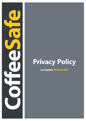# **Privacy Policy**

**Last Updated: 10 March 2022**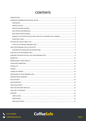## **CONTENTS**



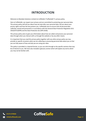## **INTRODUCTION**

<span id="page-2-0"></span>Welcome to Mandate Solutions Limited t/a CoffeSafe ("CoffeeSafe")'s privacy policy.

Here at CoffeeSafe, we respect your privacy and are committed to protecting your personal data. This privacy policy will tell you about how we look after your personal data, tell you about your privacy rights and how the law protects you. CoffeeSafe aims to ensure that all personal data collected, stored and processed is in accordance with the General Data Protection Regulation (EU) 2016/679 (GDPR) and the Data Protection Act (DPA 2018).

This privacy policy aims to give you information about how we collect and process your personal data through when you interact with us through this website or by any other means.

It is important that you read this privacy policy together with any other privacy policy we may provide on specific occasions when we are collecting or processing personal data about you so that you are fully aware of how and why we are using your data.

This policy is provided in a layered format, so you can click through to the specific sections that may be of interest to you. We have also included a glossary section which will explain any terms which you may not be familiar with.



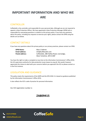# <span id="page-3-0"></span>**IMPORTANT INFORMATION AND WHO WE ARE**

#### <span id="page-3-1"></span>**CONTROLLER**

CoffeeSafe is the controller and responsible for your personal data. Although we are not required to appoint a Data Protection Officer, We have appointed a Data Protection Manager (DPM) who is responsible for overseeing questions in relation to this privacy policy. If you have any questions about this policy, including any requests to exercise your rights, please contact the DPM using the details set out below.

#### <span id="page-3-2"></span>CONTACT DETAILS

If you have any questions about this privacy policy or our privacy practices, please contact our DPM.

| <b>DPM Name:</b>      | Marc Crabtree                             |
|-----------------------|-------------------------------------------|
| <b>Email address:</b> | info@coffeesafe.com                       |
| Postal address:       | CoffeeSafe, 288 Halifax Road, Liversedge, |
|                       | West Yorkshire, WF15 6NP                  |

You have the right to make a complaint at any time to the Information Commissioner's Office (ICO), the UK supervisory authority for data protection issues (www.ico.org.uk). We would, however, appreciate the chance to deal with your concerns before you approach the ICO so please contact us in the first instance.

#### <span id="page-3-3"></span>LEGISLATION AND GUIDANCE

This policy meets the requirements of the GDPR and the DPA 2018. It is based on guidance published by the Information Commissioner's Office (ICO).

It also reflects the ICO's code of practice for personal information.

Our ICO registration number is:

#### **ZA809415**



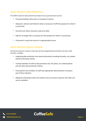#### <span id="page-4-0"></span>DATA PROTECTION PRINCIPLES

The GDPR is based on data protection principles that say personal data must be:

- Processed lawfully, fairly and in a transparent manner.
- Adequate, relevant and limited to what is necessary to fulfil the purposes for which it is processed.
- Accurate and, where necessary, kept up to date.
- Kept for no longer than is necessary for the purposes for which it is processed.
- Processed in a way that ensures it is appropriately secure.

#### <span id="page-4-1"></span>DATA PROTECTION BY DESIGN

We will put measures in place to show that we have integrated data protection into all our data activities, including:

- Integrating data protection into internal documents including this policy, any related policies and privacy notices.
- Training members of staff on data protection law, this policy, any related policies and any other data protection matters.
- Ensuring that new members of staff have appropriate data protection training as part of their induction.
- Regularly conducting reviews and audits to test our privacy measures and make sure we are compliant.



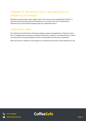#### <span id="page-5-0"></span>CHANGES TO THE PRIVACY POLICY AND YOUR DUTY TO INFORM US OF CHANGES

We keep our privacy policy under regular review. This version was last updated March 2020. It is important that the personal data we hold about you is accurate and current. Please keep us informed if your personal data changes during your relationship with us.

#### <span id="page-5-1"></span>THIRD-PARTY LINKS

This website may include links to third-party websites, plug-ins and applications. Clicking on those links or enabling those connections may allow third parties to collect or share data about you. We do not control these third-party websites and are not responsible for their privacy statements.

When you leave our website, we encourage you to read the privacy policy of every website you visit.



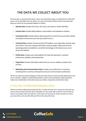## <span id="page-6-0"></span>**THE DATA WE COLLECT ABOUT YOU**

Personal data, or personal information, means any information about an individual from which that person can be identified. We may collect, use, store and transfer different kinds of personal data about you which we have grouped together as follows:

- **Identity Data** includes first name, last name, username or similar identifier.
- **Contact Data** includes billing address, email address and telephone numbers.
- **Transaction Data** includes details about payments to and from you and other details of products and services you have purchased from us.
- **Technical Data** includes internet protocol (IP) address, your login data, browser type and version, time zone setting and location, browser plug-in types and versions, operating system and platform, and other technology on the devices you use to access this website.
- **Profile Data** includes your email address for multi-site operators, customer preferences, feedback and testimonials.
- **Usage Data** includes information about how you use our website, products and services.
- **Marketing and Communications Data** includes your preferences in receiving marketing from us and our third parties and your communication preferences.

We do not collect any Special Categories of Personal Data about you (this includes details about your race or ethnicity, religious or philosophical beliefs, sex life, sexual orientation, political opinions, trade union membership, information about your health, and genetic and biometric data).

#### <span id="page-6-1"></span>IF YOU FAIL TO PROVIDE PERSONAL DATA

Where we need to collect personal data by law, or under the terms of a contract we have with you, and you fail to provide that data when requested, we may not be able to perform the contract we have or are trying to enter into with you. In this case, we may have to cancel a product or service you have with us, but we will notify you if this is the case at the time.



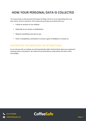## <span id="page-7-0"></span>**HOW YOUR PERSONAL DATA IS COLLECTED**

You may provide us with personal information by filling in forms or by corresponding with us by post, phone, email or otherwise. This includes personal data you provide when you:

- Create an account on our website.
- Subscribe to our service or publications.
- Request marketing to be sent to you.
- Enter a competition, promotion or survey or give us feedback or contact us.

#### <span id="page-7-1"></span>AUTOMATED TECHNOLOGIES OR INTERACTIONS.

As you interact with our website, we will automatically collect Technical Data about your equipment, browsing actions and patterns. We collect this personal data by using cookies and other similar technologies.



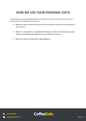## <span id="page-8-0"></span>**HOW WE USE YOUR PERSONAL DATA**

We will only use your personal data when the law allows us to. Most commonly, we will use your personal data in the following circumstances:

- Where we need to perform the contract we are about to enter into or have entered into with you.
- Where it is necessary for our legitimate interests (or those of a third party) and your interests and fundamental rights do not override those interests.
- Where we need to comply with a legal obligation.



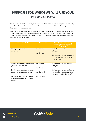# <span id="page-9-0"></span>**PURPOSES FOR WHICH WE WILL USE YOUR PERSONAL DATA**

We have set out, in a table format, a description of all the ways we plan to use your personal data, and which of the legal bases we rely on to do so. We have also identified what our legitimate interests are where appropriate.

Note that we may process your personal data for more than one lawful ground depending on the specific purpose for which we are using your data. Please contact us if you need details about the specific legal ground we are relying on to process your personal data where more than one ground has been set out in the table.

| <b>Purpose/Activity</b>                                                                                                                                                                                            | <b>Type of data</b>                                             | <b>Lawful basis for processing</b><br>including basis of legitimate<br>interest                                                                 |
|--------------------------------------------------------------------------------------------------------------------------------------------------------------------------------------------------------------------|-----------------------------------------------------------------|-------------------------------------------------------------------------------------------------------------------------------------------------|
| To register you as a new<br>customer                                                                                                                                                                               | (a) Identity<br>(b) Contact                                     | (a) Performance of a contract<br>with you<br>(b) Necessary for our legitimate<br>interests (to register you as a<br>new customer)               |
| To manage our relationship with<br>you which will include:<br>(a) Notifying you about changes<br>to our terms or privacy policy<br>(b) Asking you to leave a review,<br>provide a testimonial, or take a<br>survey | (a) Identity<br>(b) Contact<br>(c) Financial<br>(d) Transaction | (a) Performance of a contract<br>with you<br>(b) Necessary for our legitimate<br>interests (to process payments<br>and recover debts due to us) |



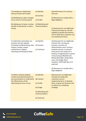| To manage our relationship<br>with you which will include:<br>(a) Notifying you about changes<br>to our terms or privacy policy<br>(b) Asking you to leave a review,<br>provide a testimonial, or take a<br>survey | (a) Identity<br>(b) Contact<br>(c) Profile<br>(d) Marketing and<br><b>Communications</b>                               | (a) Performance of a contract<br>with you<br>(b) Necessary to comply with a<br>legal obligation<br>(c) Necessary for our legitimate<br>interests (to keep our records<br>updated, promote the business<br>and to study how customers use<br>our products/services)                                                                                                                                                              |
|--------------------------------------------------------------------------------------------------------------------------------------------------------------------------------------------------------------------|------------------------------------------------------------------------------------------------------------------------|---------------------------------------------------------------------------------------------------------------------------------------------------------------------------------------------------------------------------------------------------------------------------------------------------------------------------------------------------------------------------------------------------------------------------------|
| To administer and protect our<br>business and this website<br>(including troubleshooting, data<br>analysis, testing, system<br>maintenance, support,<br>reporting and hosting of data)                             | (a) Identity<br>(b) Contact<br>(c) Technical                                                                           | (a) Necessary for our legitimate<br>interests (for running our<br>business, provision of<br>administration and IT services,<br>network security, to prevent<br>fraud and in the context of a<br>business reorganisation or group<br>restructuring CoffeeSafe Ltd,<br>Windy Bank Mills, Windy Bank<br>Lane, Liversedge, West<br>Yorkshire, WF15 8HE Pg 5 of 9<br>exercise)<br>(b) Necessary to comply with a<br>legal obligation |
| To deliver relevant website<br>content and advertisements to<br>you and measure or understand<br>the effectiveness of the<br>advertising we serve to you                                                           | (a) Identity<br>(b) Contact<br>(c) Profile<br>(d) Usage<br>(e) Marketing and<br><b>Communications</b><br>(f) Technical | Necessary for our legitimate<br>interests (to study how<br>customers use our<br>products/services, to develop<br>them, to grow our business and<br>to inform our marketing<br>strategy)                                                                                                                                                                                                                                         |



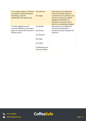| To use data analytics to improve<br>our website, products/services,<br>marketing, customer<br>relationships and experiences | (a) Technical<br>(b) Usage                                                                                      | Necessary for our legitimate<br>interests (to define types of<br>customers for our products and<br>services, to keep our website<br>updated and relevant, to<br>develop our business and to<br>inform our marketing strategy) |
|-----------------------------------------------------------------------------------------------------------------------------|-----------------------------------------------------------------------------------------------------------------|-------------------------------------------------------------------------------------------------------------------------------------------------------------------------------------------------------------------------------|
| To make suggestions and<br>recommendations to you about<br>goods or services that may be of<br>interest to you              | (a) Identity<br>(b) Contact<br>(c) Technical<br>(d) Usage<br>(e) Profile<br>(f) Marketing and<br>Communications | Necessary for our legitimate<br>interests (to develop our<br>products/services and grow our<br>business)                                                                                                                      |



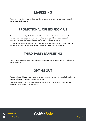#### **MARKETING**

<span id="page-12-1"></span><span id="page-12-0"></span>We strive to provide you with choices regarding certain personal data uses, particularly around marketing and advertising.

## **PROMOTIONAL OFFERS FROM US**

We may use your Identity, Contact, Technical, Usage and Profile Data to form a view on what we think you may want or need, or what may be of interest to you. This is how we decide which products, services and offers may be relevant for you (we call this marketing).

<span id="page-12-2"></span>You will receive marketing communications from us if you have requested information from us or purchased services from us and you have not opted out of receiving that marketing.

#### **THIRD-PARTY MARKETING**

<span id="page-12-3"></span>We will get your express opt-in consent before we share your personal data with any third party for marketing purposes.

#### **OPTING OUT**

You can ask us or third parties to stop sending you marketing messages at any time by following the opt-out links on any marketing message sent to you.

Where you opt out of receiving these marketing messages, this will not apply to personal data provided to us as a result of service purchase.



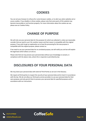## **COOKIES**

<span id="page-13-0"></span>You can set your browser to refuse all or some browser cookies, or to alert you when websites set or access cookies. If you disable or refuse cookies, please note that some parts of this website may become inaccessible or not function properly. For more information about the cookies we use, please see our Cookies Policy.

#### **CHANGE OF PURPOSE**

<span id="page-13-1"></span>We will only use your personal data for the purposes for which we collected it, unless we reasonably consider that we need to use it for another reason and that reason is compatible with the original purpose. If you wish to get an explanation as to how the processing for the new purpose is compatible with the original purpose, please contact us.

If we need to use your personal data for an unrelated purpose, we will notify you and we will explain the legal basis which allows us to do so.

Please note that we may process your personal data without your knowledge or consent, in compliance with the above rules, where this is required or permitted by law.

## <span id="page-13-2"></span>**DISCLOSURES OF YOUR PERSONAL DATA**

We may share your personal data with external Third Parties as set out in the Glossary.

We require all third parties to respect the security of your personal data and to treat it in accordance with the law. We do not allow our third-party service providers to use your personal data for their own purposes and only permit them to process your personal data for specified purposes and in accordance with our instructions.



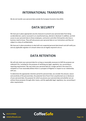## **INTERNATIONAL TRANSFERS**

<span id="page-14-1"></span><span id="page-14-0"></span>We do not transfer your personal data outside the European Economic Area (EEA).

## **DATA SECURITY**

We have put in place appropriate security measures to prevent your personal data from being accidentally lost, used or accessed in an unauthorised way, altered or disclosed. In addition, we limit access to your personal data to those employees, contractors and other third parties who have a business need to know. They will only process your personal data on our instructions and they are subject to a duty of confidentiality.

<span id="page-14-2"></span>We have put in place procedures to deal with any suspected personal data breach and will notify you and any applicable regulator of a breach where we are legally required to do so.

## **DATA RETENTION**

We will only retain your personal data for as long as reasonably necessary to fulfil the purposes we collected it for, including for the purposes of satisfying any legal, regulatory, tax, accounting or reporting requirements. We may retain your personal data for a longer period in the event of a complaint or if we reasonably believe there is a prospect of litigation in respect to our relationship with you.

To determine the appropriate retention period for personal data, we consider the amount, nature and sensitivity of the personal data, the potential risk of harm from unauthorised use or disclosure of your personal data, the purposes for which we process your personal data and whether we can achieve those purposes through other means, and the applicable legal, regulatory, tax, accounting or other requirements.



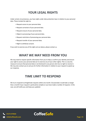# **YOUR LEGAL RIGHTS**

<span id="page-15-0"></span>Under certain circumstances, you have rights under data protection laws in relation to your personal data. These include the right to;

- Request access to your personal data.
- Request correction of your personal data.
- Request erasure of your personal data.
- Object to processing of your personal data.
- Request restriction of processing your personal data.
- Request transfer of your personal data.
- Right to withdraw consent.

<span id="page-15-1"></span>If you wish to exercise any of the rights set out above, please contact us.

#### **WHAT WE MAY NEED FROM YOU**

We may need to request specific information from you to help us confirm your identity and ensure your right to access your personal data (or to exercise any of your other rights). This is a security measure to ensure that personal data is not disclosed to any person who has no right to receive it. We may also contact you to ask you for further information in relation to your request to speed up our response.

## **TIME LIMIT TO RESPOND**

<span id="page-15-3"></span><span id="page-15-2"></span>We try to respond to all legitimate requests within one month. Occasionally it could take us longer than a month if your request is particularly complex or you have made a number of requests. In this case, we will notify you and keep you updated.



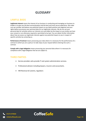#### **GLOSSARY**

#### <span id="page-16-0"></span>LAWFUL BASIS

**Legitimate Interest** means the interest of our business in conducting and managing our business to enable us to give you the best service/product and the best and most secure experience. We make sure we consider and balance any potential impact on you (both positive and negative) and your rights before we process your personal data for our legitimate interests. We do not use your personal data for activities where our interests are overridden by the impact on you (unless we have your consent or are otherwise required or permitted to by law). You can obtain further information about how we assess our legitimate interests against any potential impact on you in respect of specific activities by contacting us.

**Performance of Contract** means processing your data where it is necessary for the performance of a contract to which you are a party or to take steps at your request before entering into such a contract.

**Comply with a legal obligation** means processing your personal data where it is necessary for compliance with a legal obligation that we are subject to.

#### <span id="page-16-1"></span>THIRD PARTIES

- Service providers who provide IT and system administration services.
- Professional advisers including lawyers, insurers and accountants.
- HM Revenue & Customs, regulators



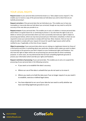#### <span id="page-17-0"></span>YOUR LEGAL RIGHTS

**Request access** to your personal data (commonly known as a "data subject access request"). This enables you to receive a copy of the personal data we hold about you and to check that we are lawfully processing it.

**Request correction** of the personal data that we hold about you. This enables you to have any incomplete or inaccurate data we hold about you corrected, though we may need to verify the accuracy of the new data you provide to us.

**Request erasure** of your personal data. This enables you to ask us to delete or remove personal data where there is no good reason for us continuing to process it. You also have the right to ask us to delete or remove your personal data where you have successfully exercised your right to object to processing (see below), where we may have processed your information unlawfully or where we are required to erase your personal data to comply with local law. Note, however, that we may not always be able to comply with your request of erasure for specific legal reasons which will be notified to you, if applicable, at the time of your request.

**Object to processing** of your personal data where we are relying on a legitimate interest (or those of a third party) and there is something about your particular situation which makes you want to object to processing on this ground as you feel it impacts on your fundamental rights and freedoms. You also have the right to object where we are processing your personal data for direct marketing purposes. In some cases, we may demonstrate that we have compelling legitimate grounds to process your information which override your rights and freedoms.

**Request restriction of processing** of your personal data. This enables you to ask us to suspend the processing of your personal data in the following scenarios:

- If you want us to establish the data's accuracy.
- Where our use of the data is unlawful but you do not want us to erase it.
- Where you need us to hold the data even if we no longer require it as you need it to establish, exercise or defend legal claims.
- You have objected to our use of your data but we need to verify whether we have overriding legitimate grounds to use it.